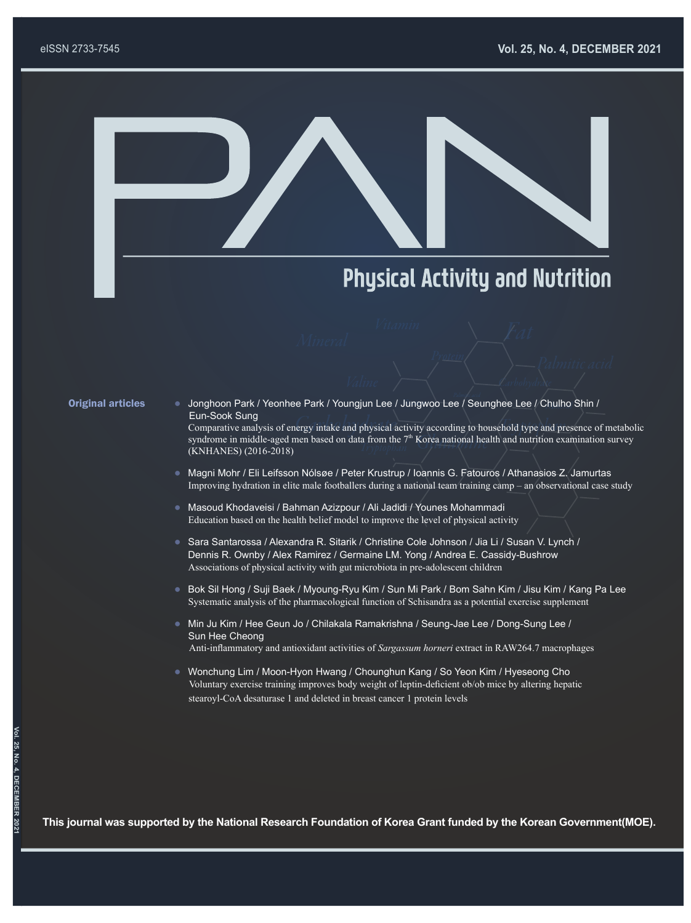

## **Physical Activity and Nutrition**

- Original articles **Character Character Park / Yeonhee Park / Youngjun Lee / Jungwoo Lee / Seunghee Lee / Chulho Shin /**  Eun-Sook Sung Comparative analysis of energy intake and physical activity according to household type and presence of metabolic syndrome in middle-aged men based on data from the  $7<sup>th</sup>$  Korea national health and nutrition examination survey (KNHANES) (2016-2018)
	- Magni Mohr / Eli Leifsson Nólsøe / Peter Krustrup / Ioannis G. Fatouros / Athanasios Z. Jamurtas Improving hydration in elite male footballers during a national team training camp – an observational case study
	- Masoud Khodaveisi / Bahman Azizpour / Ali Jadidi / Younes Mohammadi Education based on the health belief model to improve the level of physical activity
	- Sara Santarossa / Alexandra R. Sitarik / Christine Cole Johnson / Jia Li / Susan V. Lynch / Dennis R. Ownby / Alex Ramirez / Germaine LM. Yong / Andrea E. Cassidy-Bushrow Associations of physical activity with gut microbiota in pre-adolescent children
	- Bok Sil Hong / Suji Baek / Myoung-Ryu Kim / Sun Mi Park / Bom Sahn Kim / Jisu Kim / Kang Pa Lee Systematic analysis of the pharmacological function of Schisandra as a potential exercise supplement
	- Min Ju Kim / Hee Geun Jo / Chilakala Ramakrishna / Seung-Jae Lee / Dong-Sung Lee / Sun Hee Cheong Anti-inflammatory and antioxidant activities of *Sargassum horneri* extract in RAW264.7 macrophages
	- Wonchung Lim / Moon-Hyon Hwang / Chounghun Kang / So Yeon Kim / Hyeseong Cho Voluntary exercise training improves body weight of leptin-deficient ob/ob mice by altering hepatic stearoyl-CoA desaturase 1 and deleted in breast cancer 1 protein levels

**This journal was supported by the National Research Foundation of Korea Grant funded by the Korean Government(MOE).**